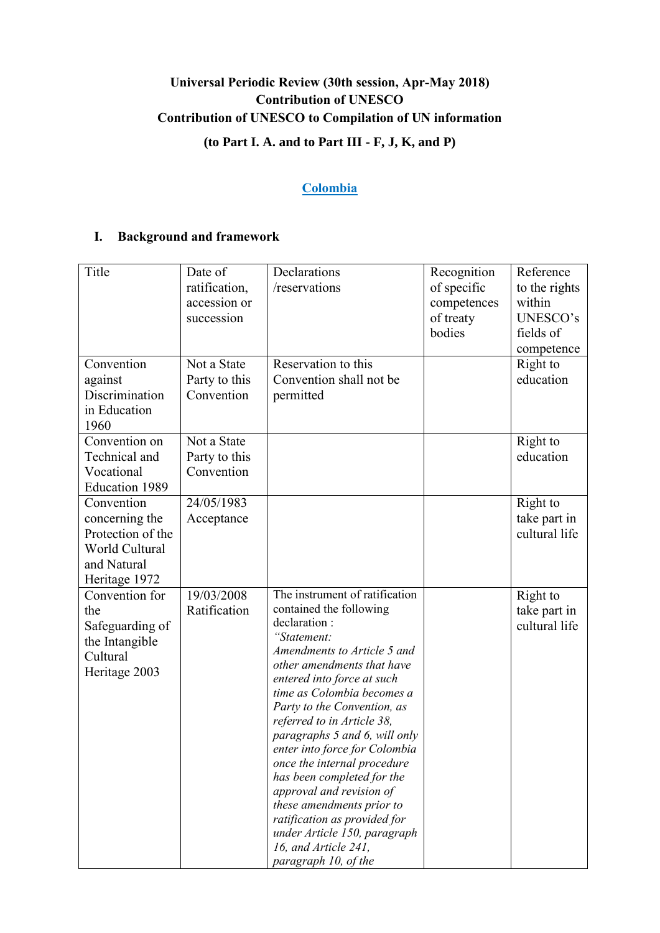# **Universal Periodic Review (30th session, Apr-May 2018) Contribution of UNESCO Contribution of UNESCO to Compilation of UN information (to Part I. A. and to Part III - F, J, K, and P)**

## **Colombia**

## **I. Background and framework**

| Title                                                                                                      | Date of<br>ratification,<br>accession or<br>succession | Declarations<br>/reservations                                                                                                                                                                                                                                                                                                                                                                                                                                                                                                                                                          | Recognition<br>of specific<br>competences<br>of treaty<br>bodies | Reference<br>to the rights<br>within<br>UNESCO's<br>fields of<br>competence |
|------------------------------------------------------------------------------------------------------------|--------------------------------------------------------|----------------------------------------------------------------------------------------------------------------------------------------------------------------------------------------------------------------------------------------------------------------------------------------------------------------------------------------------------------------------------------------------------------------------------------------------------------------------------------------------------------------------------------------------------------------------------------------|------------------------------------------------------------------|-----------------------------------------------------------------------------|
| Convention<br>against<br>Discrimination<br>in Education<br>1960                                            | Not a State<br>Party to this<br>Convention             | Reservation to this<br>Convention shall not be<br>permitted                                                                                                                                                                                                                                                                                                                                                                                                                                                                                                                            |                                                                  | Right to<br>education                                                       |
| Convention on<br>Technical and<br>Vocational<br><b>Education 1989</b>                                      | Not a State<br>Party to this<br>Convention             |                                                                                                                                                                                                                                                                                                                                                                                                                                                                                                                                                                                        |                                                                  | Right to<br>education                                                       |
| Convention<br>concerning the<br>Protection of the<br><b>World Cultural</b><br>and Natural<br>Heritage 1972 | 24/05/1983<br>Acceptance                               |                                                                                                                                                                                                                                                                                                                                                                                                                                                                                                                                                                                        |                                                                  | Right to<br>take part in<br>cultural life                                   |
| Convention for<br>the<br>Safeguarding of<br>the Intangible<br>Cultural<br>Heritage 2003                    | 19/03/2008<br>Ratification                             | The instrument of ratification<br>contained the following<br>declaration:<br>"Statement:<br>Amendments to Article 5 and<br>other amendments that have<br>entered into force at such<br>time as Colombia becomes a<br>Party to the Convention, as<br>referred to in Article 38,<br>paragraphs 5 and 6, will only<br>enter into force for Colombia<br>once the internal procedure<br>has been completed for the<br>approval and revision of<br>these amendments prior to<br>ratification as provided for<br>under Article 150, paragraph<br>16, and Article 241,<br>paragraph 10, of the |                                                                  | Right to<br>take part in<br>cultural life                                   |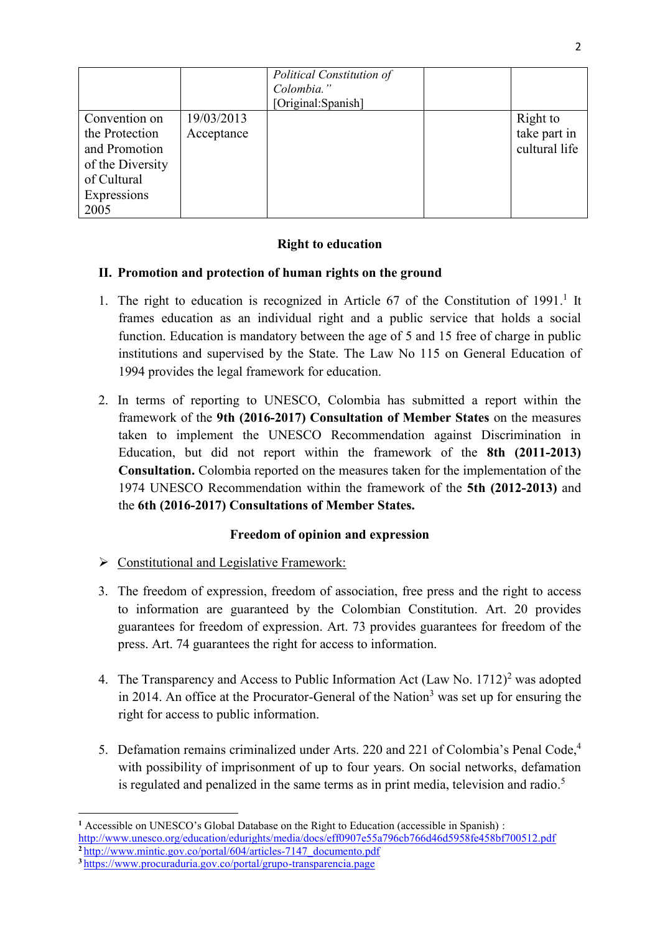|                  |            | Political Constitution of<br>Colombia."<br>[Original:Spanish] |               |
|------------------|------------|---------------------------------------------------------------|---------------|
| Convention on    | 19/03/2013 |                                                               | Right to      |
| the Protection   | Acceptance |                                                               | take part in  |
| and Promotion    |            |                                                               | cultural life |
| of the Diversity |            |                                                               |               |
| of Cultural      |            |                                                               |               |
| Expressions      |            |                                                               |               |
| 2005             |            |                                                               |               |

## **Right to education**

## **II. Promotion and protection of human rights on the ground**

- 1. The right to education is recognized in Article 67 of the Constitution of 1991.<sup>1</sup> It frames education as an individual right and a public service that holds a social function. Education is mandatory between the age of 5 and 15 free of charge in public institutions and supervised by the State. The Law No 115 on General Education of 1994 provides the legal framework for education.
- 2. In terms of reporting to UNESCO, Colombia has submitted a report within the framework of the **9th (2016-2017) Consultation of Member States** on the measures taken to implement the UNESCO Recommendation against Discrimination in Education, but did not report within the framework of the **8th (2011-2013) Consultation.** Colombia reported on the measures taken for the implementation of the 1974 UNESCO Recommendation within the framework of the **5th (2012-2013)** and the **6th (2016-2017) Consultations of Member States.**

## **Freedom of opinion and expression**

- $\triangleright$  Constitutional and Legislative Framework:
- 3. The freedom of expression, freedom of association, free press and the right to access to information are guaranteed by the Colombian Constitution. Art. 20 provides guarantees for freedom of expression. Art. 73 provides guarantees for freedom of the press. Art. 74 guarantees the right for access to information.
- 4. The Transparency and Access to Public Information Act  $(Law No. 1712)^2$  was adopted in 2014. An office at the Procurator-General of the Nation<sup>3</sup> was set up for ensuring the right for access to public information.
- 5. Defamation remains criminalized under Arts. 220 and 221 of Colombia's Penal Code, 4 with possibility of imprisonment of up to four years. On social networks, defamation is regulated and penalized in the same terms as in print media, television and radio.<sup>5</sup>

**<sup>.</sup> <sup>1</sup>** Accessible on UNESCO's Global Database on the Right to Education (accessible in Spanish) : <http://www.unesco.org/education/edurights/media/docs/eff0907e55a796cb766d46d5958fe458bf700512.pdf> **<sup>2</sup>** [http://www.mintic.gov.co/portal/604/articles-7147\\_documento.pdf](http://www.mintic.gov.co/portal/604/articles-7147_documento.pdf)

**<sup>3</sup>** <https://www.procuraduria.gov.co/portal/grupo-transparencia.page>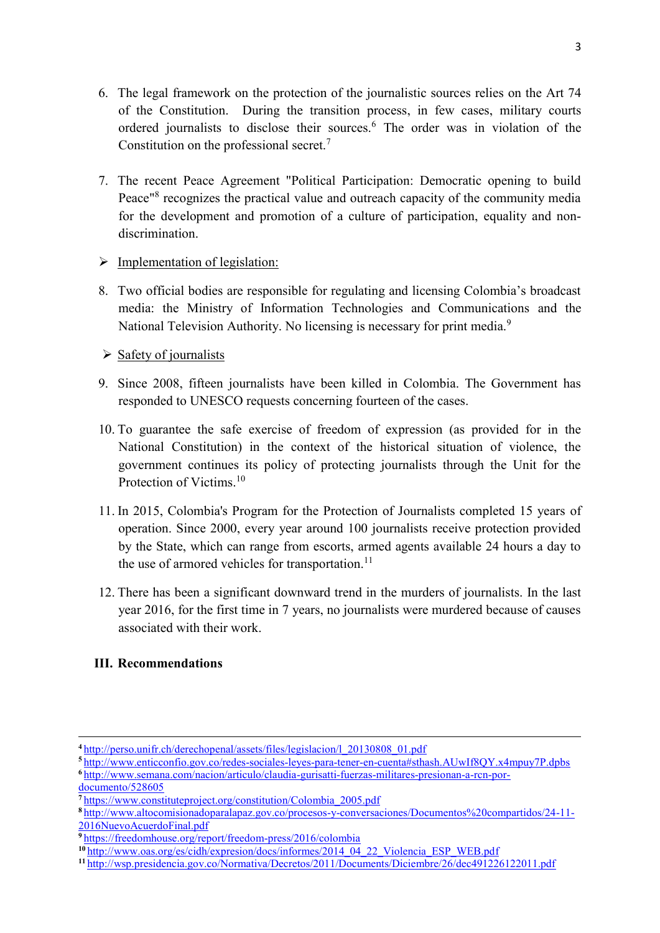- 6. The legal framework on the protection of the journalistic sources relies on the Art 74 of the Constitution. During the transition process, in few cases, military courts ordered journalists to disclose their sources.<sup>6</sup> The order was in violation of the Constitution on the professional secret. $<sup>7</sup>$ </sup>
- 7. The recent Peace Agreement "Political Participation: Democratic opening to build Peace"<sup>8</sup> recognizes the practical value and outreach capacity of the community media for the development and promotion of a culture of participation, equality and nondiscrimination.
- $\triangleright$  Implementation of legislation:
- 8. Two official bodies are responsible for regulating and licensing Colombia's broadcast media: the Ministry of Information Technologies and Communications and the National Television Authority. No licensing is necessary for print media.<sup>9</sup>
- $\triangleright$  Safety of journalists
- 9. Since 2008, fifteen journalists have been killed in Colombia. The Government has responded to UNESCO requests concerning fourteen of the cases.
- 10. To guarantee the safe exercise of freedom of expression (as provided for in the National Constitution) in the context of the historical situation of violence, the government continues its policy of protecting journalists through the Unit for the Protection of Victims.<sup>10</sup>
- 11. In 2015, Colombia's Program for the Protection of Journalists completed 15 years of operation. Since 2000, every year around 100 journalists receive protection provided by the State, which can range from escorts, armed agents available 24 hours a day to the use of armored vehicles for transportation.<sup>11</sup>
- 12. There has been a significant downward trend in the murders of journalists. In the last year 2016, for the first time in 7 years, no journalists were murdered because of causes associated with their work.

## **III. Recommendations**

**<sup>5</sup>** <http://www.enticconfio.gov.co/redes-sociales-leyes-para-tener-en-cuenta#sthash.AUwIf8QY.x4mpuy7P.dpbs> **<sup>6</sup>** [http://www.semana.com/nacion/articulo/claudia-gurisatti-fuerzas-militares-presionan-a-rcn-por-](http://www.semana.com/nacion/articulo/claudia-gurisatti-fuerzas-militares-presionan-a-rcn-por-documento/528605)

 $\overline{a}$ 

**<sup>4</sup>** [http://perso.unifr.ch/derechopenal/assets/files/legislacion/l\\_20130808\\_01.pdf](http://perso.unifr.ch/derechopenal/assets/files/legislacion/l_20130808_01.pdf)

[documento/528605](http://www.semana.com/nacion/articulo/claudia-gurisatti-fuerzas-militares-presionan-a-rcn-por-documento/528605)

**<sup>7</sup>** [https://www.constituteproject.org/constitution/Colombia\\_2005.pdf](https://www.constituteproject.org/constitution/Colombia_2005.pdf)

**<sup>8</sup>** [http://www.altocomisionadoparalapaz.gov.co/procesos-y-conversaciones/Documentos%20compartidos/24-11-](http://www.altocomisionadoparalapaz.gov.co/procesos-y-conversaciones/Documentos%20compartidos/24-11-2016NuevoAcuerdoFinal.pdf) [2016NuevoAcuerdoFinal.pdf](http://www.altocomisionadoparalapaz.gov.co/procesos-y-conversaciones/Documentos%20compartidos/24-11-2016NuevoAcuerdoFinal.pdf)

**<sup>9</sup>** <https://freedomhouse.org/report/freedom-press/2016/colombia>

**<sup>10</sup>** [http://www.oas.org/es/cidh/expresion/docs/informes/2014\\_04\\_22\\_Violencia\\_ESP\\_WEB.pdf](http://www.oas.org/es/cidh/expresion/docs/informes/2014_04_22_Violencia_ESP_WEB.pdf)

**<sup>11</sup>** <http://wsp.presidencia.gov.co/Normativa/Decretos/2011/Documents/Diciembre/26/dec491226122011.pdf>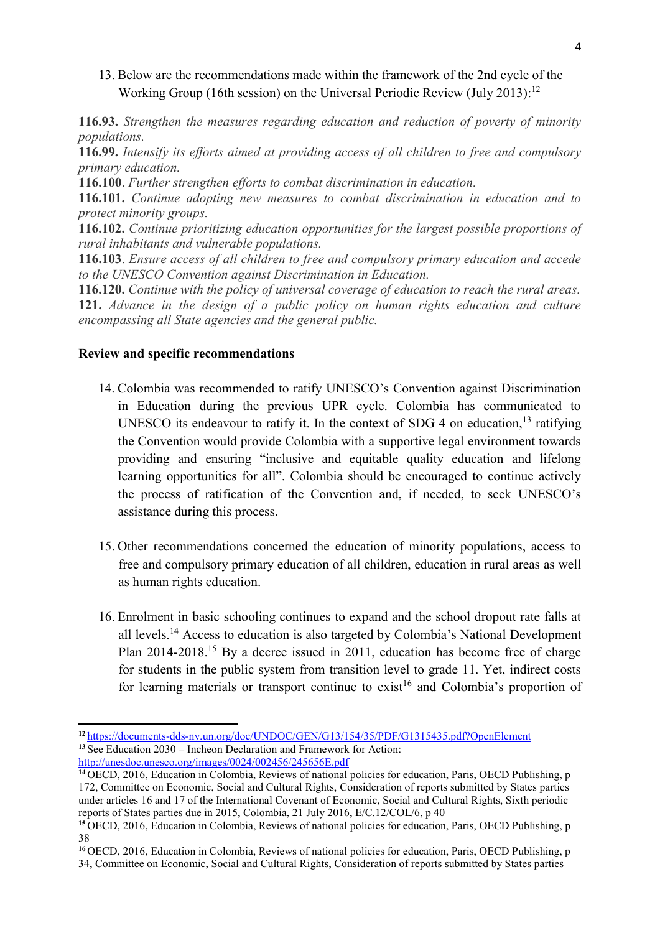## 13. Below are the recommendations made within the framework of the 2nd cycle of the Working Group (16th session) on the Universal Periodic Review (July 2013):<sup>12</sup>

**116.93.** *Strengthen the measures regarding education and reduction of poverty of minority populations.*

**116.99.** *Intensify its efforts aimed at providing access of all children to free and compulsory primary education.*

**116.100**. *Further strengthen efforts to combat discrimination in education.*

**116.101.** *Continue adopting new measures to combat discrimination in education and to protect minority groups.*

**116.102.** *Continue prioritizing education opportunities for the largest possible proportions of rural inhabitants and vulnerable populations.*

**116.103**. *Ensure access of all children to free and compulsory primary education and accede to the UNESCO Convention against Discrimination in Education.*

**116.120.** *Continue with the policy of universal coverage of education to reach the rural areas.* **121.** *Advance in the design of a public policy on human rights education and culture encompassing all State agencies and the general public.*

#### **Review and specific recommendations**

**.** 

- 14. Colombia was recommended to ratify UNESCO's Convention against Discrimination in Education during the previous UPR cycle. Colombia has communicated to UNESCO its endeavour to ratify it. In the context of SDG 4 on education,  $13$  ratifying the Convention would provide Colombia with a supportive legal environment towards providing and ensuring "inclusive and equitable quality education and lifelong learning opportunities for all". Colombia should be encouraged to continue actively the process of ratification of the Convention and, if needed, to seek UNESCO's assistance during this process.
- 15. Other recommendations concerned the education of minority populations, access to free and compulsory primary education of all children, education in rural areas as well as human rights education.
- 16. Enrolment in basic schooling continues to expand and the school dropout rate falls at all levels.<sup>14</sup> Access to education is also targeted by Colombia's National Development Plan 2014-2018.<sup>15</sup> By a decree issued in 2011, education has become free of charge for students in the public system from transition level to grade 11. Yet, indirect costs for learning materials or transport continue to exist<sup>16</sup> and Colombia's proportion of

**<sup>12</sup>** <https://documents-dds-ny.un.org/doc/UNDOC/GEN/G13/154/35/PDF/G1315435.pdf?OpenElement> **<sup>13</sup>** See Education 2030 – Incheon Declaration and Framework for Action: <http://unesdoc.unesco.org/images/0024/002456/245656E.pdf>

**<sup>14</sup>** OECD, 2016, Education in Colombia, Reviews of national policies for education, Paris, OECD Publishing, p 172, Committee on Economic, Social and Cultural Rights, Consideration of reports submitted by States parties under articles 16 and 17 of the International Covenant of Economic, Social and Cultural Rights, Sixth periodic reports of States parties due in 2015, Colombia, 21 July 2016, E/C.12/COL/6, p 40

**<sup>15</sup>** OECD, 2016, Education in Colombia, Reviews of national policies for education, Paris, OECD Publishing, p 38

**<sup>16</sup>** OECD, 2016, Education in Colombia, Reviews of national policies for education, Paris, OECD Publishing, p 34, Committee on Economic, Social and Cultural Rights, Consideration of reports submitted by States parties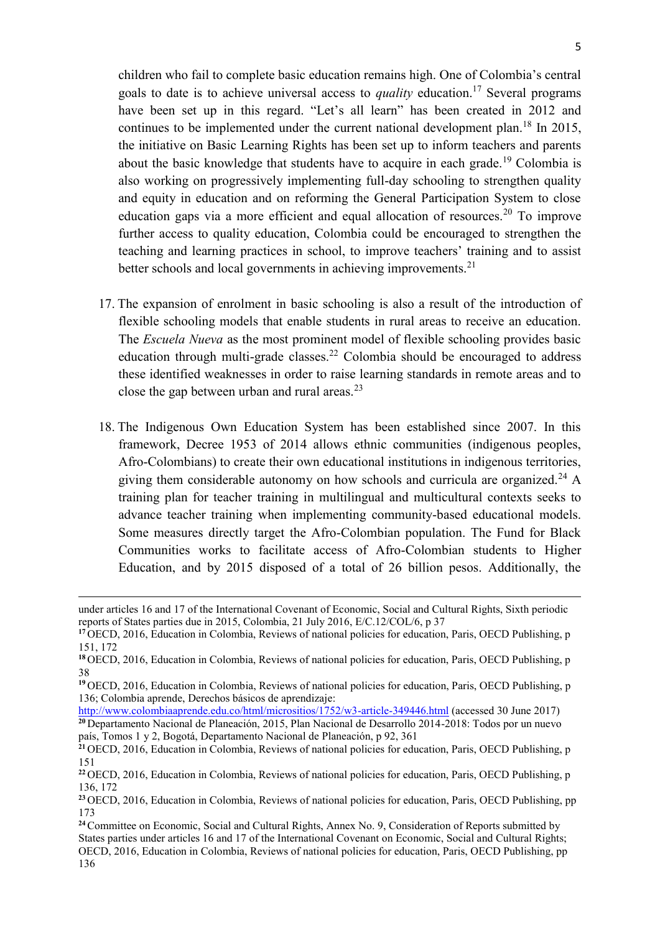children who fail to complete basic education remains high. One of Colombia's central goals to date is to achieve universal access to *quality* education.<sup>17</sup> Several programs have been set up in this regard. "Let's all learn" has been created in 2012 and continues to be implemented under the current national development plan.<sup>18</sup> In 2015, the initiative on Basic Learning Rights has been set up to inform teachers and parents about the basic knowledge that students have to acquire in each grade.<sup>19</sup> Colombia is also working on progressively implementing full-day schooling to strengthen quality and equity in education and on reforming the General Participation System to close education gaps via a more efficient and equal allocation of resources.<sup>20</sup> To improve further access to quality education, Colombia could be encouraged to strengthen the teaching and learning practices in school, to improve teachers' training and to assist better schools and local governments in achieving improvements.<sup>21</sup>

- 17. The expansion of enrolment in basic schooling is also a result of the introduction of flexible schooling models that enable students in rural areas to receive an education. The *Escuela Nueva* as the most prominent model of flexible schooling provides basic education through multi-grade classes.<sup>22</sup> Colombia should be encouraged to address these identified weaknesses in order to raise learning standards in remote areas and to close the gap between urban and rural areas. $^{23}$
- 18. The Indigenous Own Education System has been established since 2007. In this framework, Decree 1953 of 2014 allows ethnic communities (indigenous peoples, Afro-Colombians) to create their own educational institutions in indigenous territories, giving them considerable autonomy on how schools and curricula are organized.<sup>24</sup> A training plan for teacher training in multilingual and multicultural contexts seeks to advance teacher training when implementing community-based educational models. Some measures directly target the Afro-Colombian population. The Fund for Black Communities works to facilitate access of Afro-Colombian students to Higher Education, and by 2015 disposed of a total of 26 billion pesos. Additionally, the

 $\overline{a}$ 

under articles 16 and 17 of the International Covenant of Economic, Social and Cultural Rights, Sixth periodic reports of States parties due in 2015, Colombia, 21 July 2016, E/C.12/COL/6, p 37

**<sup>17</sup>** OECD, 2016, Education in Colombia, Reviews of national policies for education, Paris, OECD Publishing, p 151, 172

**<sup>18</sup>** OECD, 2016, Education in Colombia, Reviews of national policies for education, Paris, OECD Publishing, p 38

**<sup>19</sup>** OECD, 2016, Education in Colombia, Reviews of national policies for education, Paris, OECD Publishing, p 136; Colombia aprende, Derechos básicos de aprendizaje:

<http://www.colombiaaprende.edu.co/html/micrositios/1752/w3-article-349446.html> (accessed 30 June 2017) **<sup>20</sup>** Departamento Nacional de Planeación, 2015, Plan Nacional de Desarrollo 2014-2018: Todos por un nuevo país, Tomos 1 y 2, Bogotá, Departamento Nacional de Planeación, p 92, 361

**<sup>21</sup>** OECD, 2016, Education in Colombia, Reviews of national policies for education, Paris, OECD Publishing, p 151

**<sup>22</sup>** OECD, 2016, Education in Colombia, Reviews of national policies for education, Paris, OECD Publishing, p 136, 172

**<sup>23</sup>** OECD, 2016, Education in Colombia, Reviews of national policies for education, Paris, OECD Publishing, pp 173

**<sup>24</sup>**Committee on Economic, Social and Cultural Rights, Annex No. 9, Consideration of Reports submitted by States parties under articles 16 and 17 of the International Covenant on Economic, Social and Cultural Rights; OECD, 2016, Education in Colombia, Reviews of national policies for education, Paris, OECD Publishing, pp 136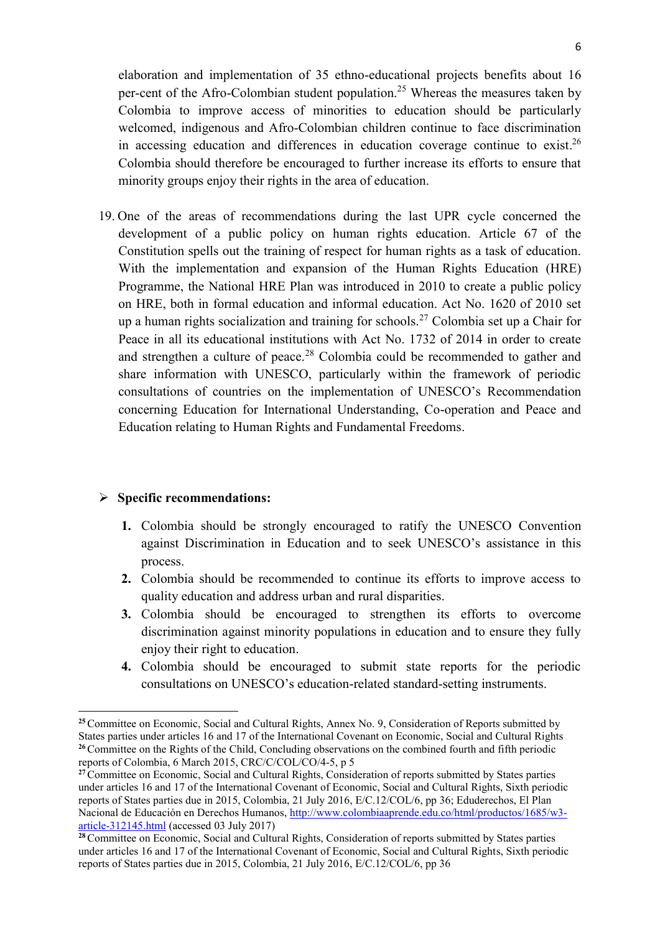elaboration and implementation of 35 ethno-educational projects benefits about 16 per-cent of the Afro-Colombian student population.<sup>25</sup> Whereas the measures taken by Colombia to improve access of minorities to education should be particularly welcomed, indigenous and Afro-Colombian children continue to face discrimination in accessing education and differences in education coverage continue to exist.<sup>26</sup> Colombia should therefore be encouraged to further increase its efforts to ensure that minority groups enjoy their rights in the area of education.

19. One of the areas of recommendations during the last UPR cycle concerned the development of a public policy on human rights education. Article 67 of the Constitution spells out the training of respect for human rights as a task of education. With the implementation and expansion of the Human Rights Education (HRE) Programme, the National HRE Plan was introduced in 2010 to create a public policy on HRE, both in formal education and informal education. Act No. 1620 of 2010 set up a human rights socialization and training for schools.<sup>27</sup> Colombia set up a Chair for Peace in all its educational institutions with Act No. 1732 of 2014 in order to create and strengthen a culture of peace.<sup>28</sup> Colombia could be recommended to gather and share information with UNESCO, particularly within the framework of periodic consultations of countries on the implementation of UNESCO's Recommendation concerning Education for International Understanding, Co-operation and Peace and Education relating to Human Rights and Fundamental Freedoms.

#### **Specific recommendations:**

1

- **1.** Colombia should be strongly encouraged to ratify the UNESCO Convention against Discrimination in Education and to seek UNESCO's assistance in this process.
- **2.** Colombia should be recommended to continue its efforts to improve access to quality education and address urban and rural disparities.
- **3.** Colombia should be encouraged to strengthen its efforts to overcome discrimination against minority populations in education and to ensure they fully enjoy their right to education.
- **4.** Colombia should be encouraged to submit state reports for the periodic consultations on UNESCO's education-related standard-setting instruments.

**<sup>25</sup>**Committee on Economic, Social and Cultural Rights, Annex No. 9, Consideration of Reports submitted by States parties under articles 16 and 17 of the International Covenant on Economic, Social and Cultural Rights <sup>26</sup> Committee on the Rights of the Child, Concluding observations on the combined fourth and fifth periodic reports of Colombia, 6 March 2015, CRC/C/COL/CO/4-5, p 5

<sup>&</sup>lt;sup>27</sup> Committee on Economic, Social and Cultural Rights, Consideration of reports submitted by States parties under articles 16 and 17 of the International Covenant of Economic, Social and Cultural Rights, Sixth periodic reports of States parties due in 2015, Colombia, 21 July 2016, E/C.12/COL/6, pp 36; Eduderechos, El Plan Nacional de Educación en Derechos Humanos, [http://www.colombiaaprende.edu.co/html/productos/1685/w3](http://www.colombiaaprende.edu.co/html/productos/1685/w3-article-312145.html) [article-312145.html](http://www.colombiaaprende.edu.co/html/productos/1685/w3-article-312145.html) (accessed 03 July 2017)

**<sup>28</sup>**Committee on Economic, Social and Cultural Rights, Consideration of reports submitted by States parties under articles 16 and 17 of the International Covenant of Economic, Social and Cultural Rights, Sixth periodic reports of States parties due in 2015, Colombia, 21 July 2016, E/C.12/COL/6, pp 36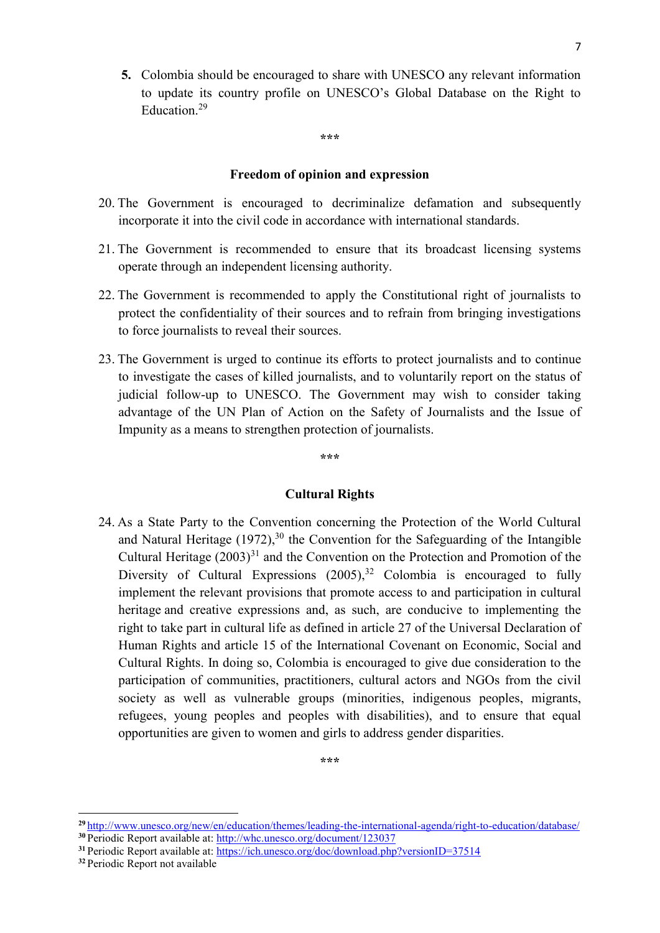**5.** Colombia should be encouraged to share with UNESCO any relevant information to update its country profile on UNESCO's Global Database on the Right to Education. 29

**\*\*\***

#### **Freedom of opinion and expression**

- 20. The Government is encouraged to decriminalize defamation and subsequently incorporate it into the civil code in accordance with international standards.
- 21. The Government is recommended to ensure that its broadcast licensing systems operate through an independent licensing authority.
- 22. The Government is recommended to apply the Constitutional right of journalists to protect the confidentiality of their sources and to refrain from bringing investigations to force journalists to reveal their sources.
- 23. The Government is urged to continue its efforts to protect journalists and to continue to investigate the cases of killed journalists, and to voluntarily report on the status of judicial follow-up to UNESCO. The Government may wish to consider taking advantage of the UN Plan of Action on the Safety of Journalists and the Issue of Impunity as a means to strengthen protection of journalists.

**\*\*\***

#### **Cultural Rights**

24. As a State Party to the Convention concerning the Protection of the World Cultural and Natural Heritage  $(1972)$ ,<sup>30</sup> the Convention for the Safeguarding of the Intangible Cultural Heritage  $(2003)^{31}$  and the Convention on the Protection and Promotion of the Diversity of Cultural Expressions (2005),<sup>32</sup> Colombia is encouraged to fully implement the relevant provisions that promote access to and participation in cultural heritage and creative expressions and, as such, are conducive to implementing the right to take part in cultural life as defined in article 27 of the Universal Declaration of Human Rights and article 15 of the International Covenant on Economic, Social and Cultural Rights. In doing so, Colombia is encouraged to give due consideration to the participation of communities, practitioners, cultural actors and NGOs from the civil society as well as vulnerable groups (minorities, indigenous peoples, migrants, refugees, young peoples and peoples with disabilities), and to ensure that equal opportunities are given to women and girls to address gender disparities.

**\*\*\***

**.** 

**<sup>29</sup>** <http://www.unesco.org/new/en/education/themes/leading-the-international-agenda/right-to-education/database/> **<sup>30</sup>** Periodic Report available at:<http://whc.unesco.org/document/123037>

**<sup>31</sup>** Periodic Report available at:<https://ich.unesco.org/doc/download.php?versionID=37514>

**<sup>32</sup>** Periodic Report not available